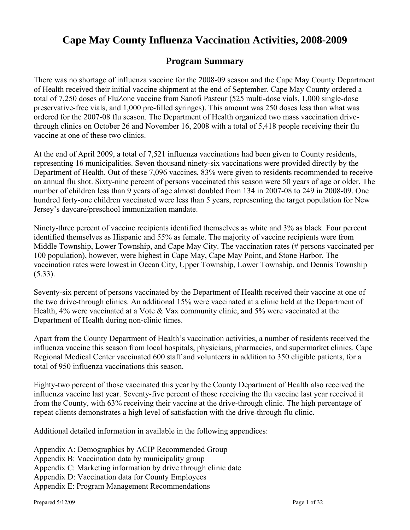# **Cape May County Influenza Vaccination Activities, 2008-2009**

# **Program Summary**

There was no shortage of influenza vaccine for the 2008-09 season and the Cape May County Department of Health received their initial vaccine shipment at the end of September. Cape May County ordered a total of 7,250 doses of FluZone vaccine from Sanofi Pasteur (525 multi-dose vials, 1,000 single-dose preservative-free vials, and 1,000 pre-filled syringes). This amount was 250 doses less than what was ordered for the 2007-08 flu season. The Department of Health organized two mass vaccination drivethrough clinics on October 26 and November 16, 2008 with a total of 5,418 people receiving their flu vaccine at one of these two clinics.

At the end of April 2009, a total of 7,521 influenza vaccinations had been given to County residents, representing 16 municipalities. Seven thousand ninety-six vaccinations were provided directly by the Department of Health. Out of these 7,096 vaccines, 83% were given to residents recommended to receive an annual flu shot. Sixty-nine percent of persons vaccinated this season were 50 years of age or older. The number of children less than 9 years of age almost doubled from 134 in 2007-08 to 249 in 2008-09. One hundred forty-one children vaccinated were less than 5 years, representing the target population for New Jersey's daycare/preschool immunization mandate.

Ninety-three percent of vaccine recipients identified themselves as white and 3% as black. Four percent identified themselves as Hispanic and 55% as female. The majority of vaccine recipients were from Middle Township, Lower Township, and Cape May City. The vaccination rates (# persons vaccinated per 100 population), however, were highest in Cape May, Cape May Point, and Stone Harbor. The vaccination rates were lowest in Ocean City, Upper Township, Lower Township, and Dennis Township (5.33).

Seventy-six percent of persons vaccinated by the Department of Health received their vaccine at one of the two drive-through clinics. An additional 15% were vaccinated at a clinic held at the Department of Health, 4% were vaccinated at a Vote & Vax community clinic, and 5% were vaccinated at the Department of Health during non-clinic times.

Apart from the County Department of Health's vaccination activities, a number of residents received the influenza vaccine this season from local hospitals, physicians, pharmacies, and supermarket clinics. Cape Regional Medical Center vaccinated 600 staff and volunteers in addition to 350 eligible patients, for a total of 950 influenza vaccinations this season.

Eighty-two percent of those vaccinated this year by the County Department of Health also received the influenza vaccine last year. Seventy-five percent of those receiving the flu vaccine last year received it from the County, with 63% receiving their vaccine at the drive-through clinic. The high percentage of repeat clients demonstrates a high level of satisfaction with the drive-through flu clinic.

Additional detailed information in available in the following appendices:

Appendix A: Demographics by ACIP Recommended Group

Appendix B: Vaccination data by municipality group

Appendix C: Marketing information by drive through clinic date

Appendix D: Vaccination data for County Employees

Appendix E: Program Management Recommendations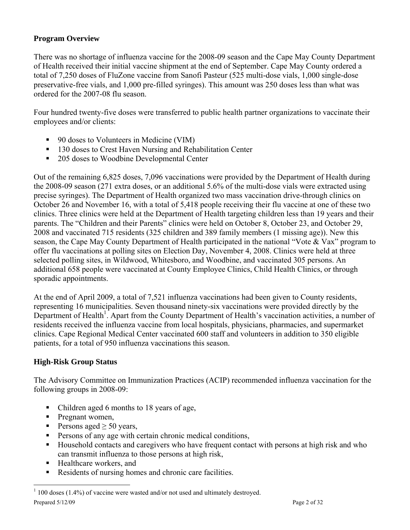# **Program Overview**

There was no shortage of influenza vaccine for the 2008-09 season and the Cape May County Department of Health received their initial vaccine shipment at the end of September. Cape May County ordered a total of 7,250 doses of FluZone vaccine from Sanofi Pasteur (525 multi-dose vials, 1,000 single-dose preservative-free vials, and 1,000 pre-filled syringes). This amount was 250 doses less than what was ordered for the 2007-08 flu season.

Four hundred twenty-five doses were transferred to public health partner organizations to vaccinate their employees and/or clients:

- 90 doses to Volunteers in Medicine (VIM)
- <sup>130</sup> doses to Crest Haven Nursing and Rehabilitation Center
- 205 doses to Woodbine Developmental Center

Out of the remaining 6,825 doses, 7,096 vaccinations were provided by the Department of Health during the 2008-09 season (271 extra doses, or an additional 5.6% of the multi-dose vials were extracted using precise syringes). The Department of Health organized two mass vaccination drive-through clinics on October 26 and November 16, with a total of 5,418 people receiving their flu vaccine at one of these two clinics. Three clinics were held at the Department of Health targeting children less than 19 years and their parents. The "Children and their Parents" clinics were held on October 8, October 23, and October 29, 2008 and vaccinated 715 residents (325 children and 389 family members (1 missing age)). New this season, the Cape May County Department of Health participated in the national "Vote & Vax" program to offer flu vaccinations at polling sites on Election Day, November 4, 2008. Clinics were held at three selected polling sites, in Wildwood, Whitesboro, and Woodbine, and vaccinated 305 persons. An additional 658 people were vaccinated at County Employee Clinics, Child Health Clinics, or through sporadic appointments.

At the end of April 2009, a total of 7,521 influenza vaccinations had been given to County residents, representing 16 municipalities. Seven thousand ninety-six vaccinations were provided directly by the Department of Health<sup>1</sup>. Apart from the County Department of Health's vaccination activities, a number of residents received the influenza vaccine from local hospitals, physicians, pharmacies, and supermarket clinics. Cape Regional Medical Center vaccinated 600 staff and volunteers in addition to 350 eligible patients, for a total of 950 influenza vaccinations this season.

## **High-Risk Group Status**

The Advisory Committee on Immunization Practices (ACIP) recommended influenza vaccination for the following groups in 2008-09:

- Children aged 6 months to 18 years of age,
- $\blacksquare$  Pregnant women,

 $\overline{a}$ 

- Persons aged  $\geq 50$  years,
- **Persons of any age with certain chronic medical conditions,**
- Household contacts and caregivers who have frequent contact with persons at high risk and who can transmit influenza to those persons at high risk,
- Healthcare workers, and
- Residents of nursing homes and chronic care facilities.

Prepared 5/12/09 Page 2 of 32  $1$  100 doses (1.4%) of vaccine were wasted and/or not used and ultimately destroyed.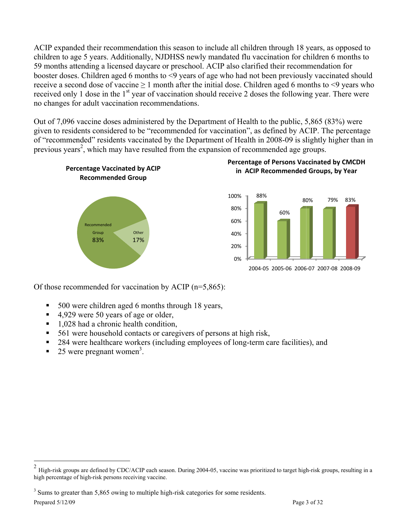ACIP expanded their recommendation this season to include all children through 18 years, as opposed to children to age 5 years. Additionally, NJDHSS newly mandated flu vaccination for children 6 months to 59 months attending a licensed daycare or preschool. ACIP also clarified their recommendation for booster doses. Children aged 6 months to <9 years of age who had not been previously vaccinated should receive a second dose of vaccine  $\geq 1$  month after the initial dose. Children aged 6 months to <9 years who received only 1 dose in the 1<sup>st</sup> year of vaccination should receive 2 doses the following year. There were no changes for adult vaccination recommendations.

Out of 7,096 vaccine doses administered by the Department of Health to the public, 5,865 (83%) were given to residents considered to be "recommended for vaccination", as defined by ACIP. The percentage of "recommended" residents vaccinated by the Department of Health in 2008-09 is slightly higher than in previous years<sup>2</sup>, which may have resulted from the expansion of recommended age groups.



Of those recommended for vaccination by ACIP  $(n=5,865)$ :

- 500 were children aged 6 months through 18 years,  $\blacksquare$
- 4,929 were 50 years of age or older,  $\blacksquare$
- 1,028 had a chronic health condition,  $\blacksquare$
- 561 were household contacts or caregivers of persons at high risk,  $\blacksquare$
- 284 were healthcare workers (including employees of long-term care facilities), and g,
- 25 were pregnant women<sup>3</sup>.

<sup>3</sup> Sums to greater than 5,865 owing to multiple high-risk categories for some residents.

Prepared 5/12/09

 $\overline{\mathbf{c}}$ High-risk groups are defined by CDC/ACIP each season. During 2004-05, vaccine was prioritized to target high-risk groups, resulting in a high percentage of high-risk persons receiving vaccine.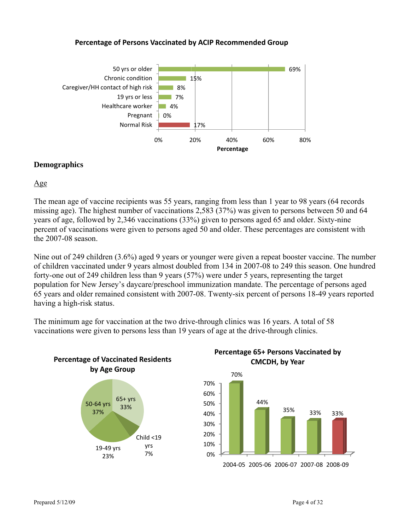#### Percentage of Persons Vaccinated by ACIP Recommended Group



#### **Demographics**

 $Age$ 

The mean age of vaccine recipients was 55 years, ranging from less than 1 year to 98 years (64 records missing age). The highest number of vaccinations 2,583 (37%) was given to persons between 50 and 64 years of age, followed by 2,346 vaccinations (33%) given to persons aged 65 and older. Sixty-nine percent of vaccinations were given to persons aged 50 and older. These percentages are consistent with the  $2007-08$  season.

Nine out of 249 children (3.6%) aged 9 years or younger were given a repeat booster vaccine. The number of children vaccinated under 9 years almost doubled from 134 in 2007-08 to 249 this season. One hundred forty-one out of 249 children less than 9 years (57%) were under 5 years, representing the target population for New Jersey's daycare/preschool immunization mandate. The percentage of persons aged 65 years and older remained consistent with 2007-08. Twenty-six percent of persons 18-49 years reported having a high-risk status.

The minimum age for vaccination at the two drive-through clinics was 16 years. A total of 58 vaccinations were given to persons less than 19 years of age at the drive-through clinics.



Percentage 65+ Persons Vaccinated by CMCDH, by Year

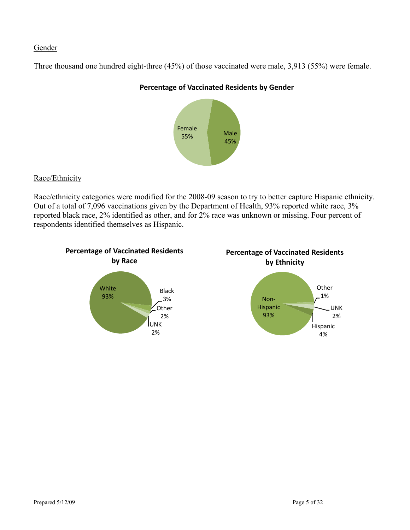## Gender

Three thousand one hundred eight-three (45%) of those vaccinated were male, 3,913 (55%) were female.



### **Percentage of Vaccinated Residents by Gender**

# Race/Ethnicity

Race/ethnicity categories were modified for the 2008-09 season to try to better capture Hispanic ethnicity. Out of a total of 7,096 vaccinations given by the Department of Health, 93% reported white race, 3% reported black race, 2% identified as other, and for 2% race was unknown or missing. Four percent of respondents identified themselves as Hispanic.





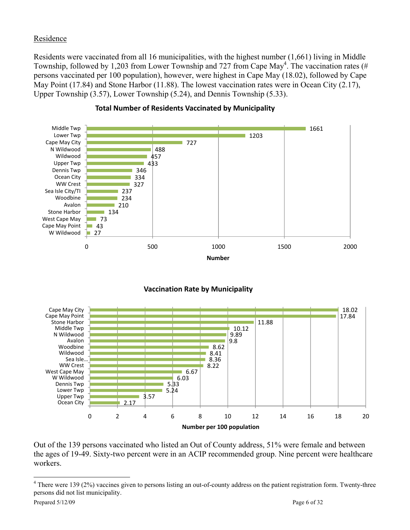# Residence

Residents were vaccinated from all 16 municipalities, with the highest number (1,661) living in Middle Township, followed by 1,203 from Lower Township and 727 from Cape May<sup>4</sup>. The vaccination rates (# persons vaccinated per 100 population), however, were highest in Cape May (18.02), followed by Cape May Point (17.84) and Stone Harbor (11.88). The lowest vaccination rates were in Ocean City (2.17), Upper Township (3.57), Lower Township (5.24), and Dennis Township (5.33).



#### **Total Number of Residents Vaccinated by Municipality**



#### **Vaccination Rate by Municipality**

Out of the 139 persons vaccinated who listed an Out of County address, 51% were female and between the ages of 19-49. Sixty-two percent were in an ACIP recommended group. Nine percent were healthcare workers.

 $\overline{a}$ 

<sup>&</sup>lt;sup>4</sup> There were 139 (2%) vaccines given to persons listing an out-of-county address on the patient registration form. Twenty-three persons did not list municipality.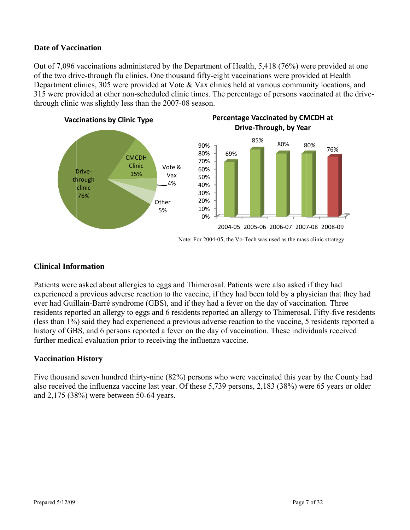## Date of Vaccination

Out of 7,096 vaccinations administered by the Department of Health, 5,418 (76%) were provided at one of the two drive-through flu clinics. One thousand fifty-eight vaccinations were provided at Health Department clinics, 305 were provided at Vote & Vax clinics held at various community locations, and 315 were provided at other non-scheduled clinic times. The percentage of persons vaccinated at the drivethrough clinic was slightly less than the 2007-08 season.



## **Clinical Information**

Patients were asked about allergies to eggs and Thimerosal. Patients were also asked if they had experienced a previous adverse reaction to the vaccine, if they had been told by a physician that they had ever had Guillain-Barré syndrome (GBS), and if they had a fever on the day of vaccination. Three residents reported an allergy to eggs and 6 residents reported an allergy to Thimerosal. Fifty-five residents (less than 1%) said they had experienced a previous adverse reaction to the vaccine, 5 residents reported a history of GBS, and 6 persons reported a fever on the day of vaccination. These individuals received further medical evaluation prior to receiving the influenza vaccine.

## **Vaccination History**

Five thousand seven hundred thirty-nine (82%) persons who were vaccinated this year by the County had also received the influenza vaccine last year. Of these 5,739 persons, 2,183 (38%) were 65 years or older and 2,175 (38%) were between 50-64 years.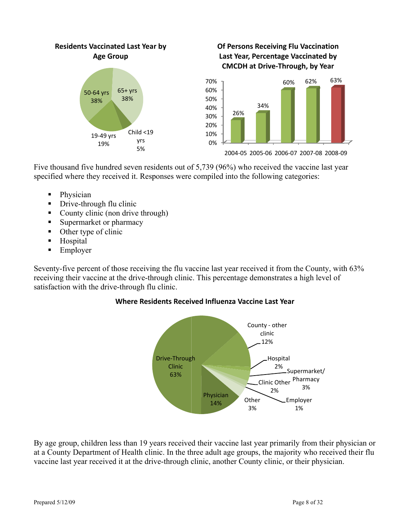

# Of Persons Receiving Flu Vaccination Last Year, Percentage Vaccinated by **CMCDH at Drive-Through, by Year**



Five thousand five hundred seven residents out of 5,739 (96%) who received the vaccine last year specified where they received it. Responses were compiled into the following categories:

- Physician
- Drive-through flu clinic  $\blacksquare$
- $\blacksquare$ County clinic (non drive through)
- Supermarket or pharmacy  $\blacksquare$
- Other type of clinic  $\blacksquare$
- $\blacksquare$ Hospital
- Employer  $\blacksquare$

Seventy-five percent of those receiving the flu vaccine last year received it from the County, with 63% receiving their vaccine at the drive-through clinic. This percentage demonstrates a high level of satisfaction with the drive-through flu clinic.

## Where Residents Received Influenza Vaccine Last Year



By age group, children less than 19 years received their vaccine last year primarily from their physician or at a County Department of Health clinic. In the three adult age groups, the majority who received their flu vaccine last year received it at the drive-through clinic, another County clinic, or their physician.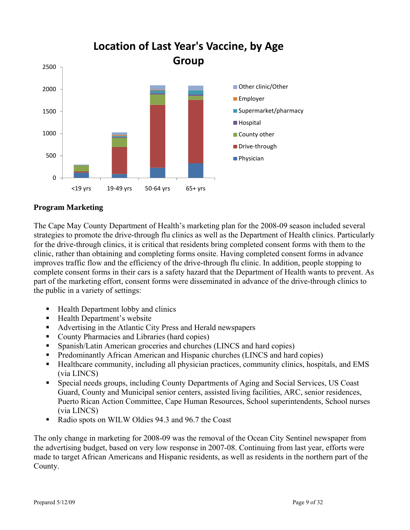

## **Program Marketing**

The Cape May County Department of Health's marketing plan for the 2008-09 season included several strategies to promote the drive-through flu clinics as well as the Department of Health clinics. Particularly for the drive-through clinics, it is critical that residents bring completed consent forms with them to the clinic, rather than obtaining and completing forms onsite. Having completed consent forms in advance improves traffic flow and the efficiency of the drive-through flu clinic. In addition, people stopping to complete consent forms in their cars is a safety hazard that the Department of Health wants to prevent. As part of the marketing effort, consent forms were disseminated in advance of the drive-through clinics to the public in a variety of settings:

- Health Department lobby and clinics
- Health Department's website
- Advertising in the Atlantic City Press and Herald newspapers
- County Pharmacies and Libraries (hard copies)
- Spanish/Latin American groceries and churches (LINCS and hard copies)
- Predominantly African American and Hispanic churches (LINCS and hard copies)
- Healthcare community, including all physician practices, community clinics, hospitals, and EMS (via LINCS)
- Special needs groups, including County Departments of Aging and Social Services, US Coast Guard, County and Municipal senior centers, assisted living facilities, ARC, senior residences, Puerto Rican Action Committee, Cape Human Resources, School superintendents, School nurses (via LINCS)
- Radio spots on WILW Oldies 94.3 and 96.7 the Coast

The only change in marketing for 2008-09 was the removal of the Ocean City Sentinel newspaper from the advertising budget, based on very low response in 2007-08. Continuing from last year, efforts were made to target African Americans and Hispanic residents, as well as residents in the northern part of the County.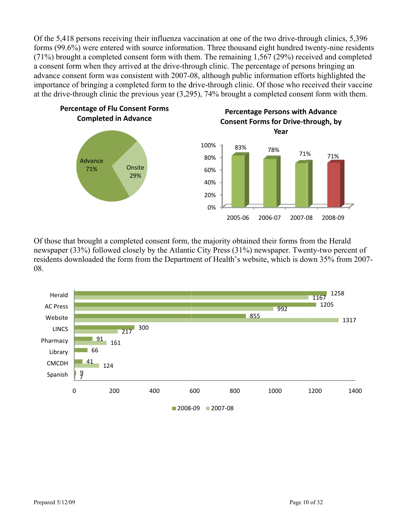Of the 5,418 persons receiving their influenza vaccination at one of the two drive-through clinics, 5,396 forms (99.6%) were entered with source information. Three thousand eight hundred twenty-nine residents (71%) brought a completed consent form with them. The remaining 1,567 (29%) received and completed a consent form when they arrived at the drive-through clinic. The percentage of persons bringing an advance consent form was consistent with 2007-08, although public information efforts highlighted the importance of bringing a completed form to the drive-through clinic. Of those who received their vaccine at the drive-through clinic the previous year  $(3,295)$ , 74% brought a completed consent form with them.



Of those that brought a completed consent form, the majority obtained their forms from the Herald newspaper (33%) followed closely by the Atlantic City Press (31%) newspaper. Twenty-two percent of residents downloaded the form from the Department of Health's website, which is down 35% from 2007-08.

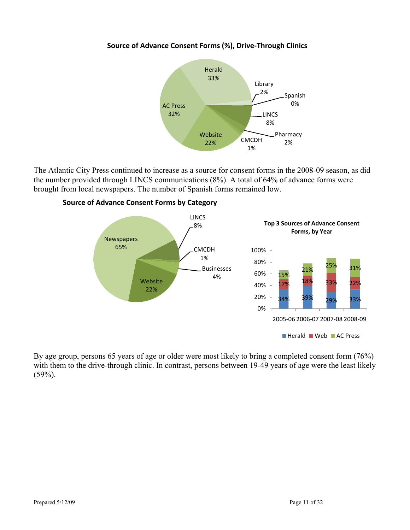## **Source of Advance Consent Forms (%), Drive‐Through Clinics**



The Atlantic City Press continued to increase as a source for consent forms in the 2008-09 season, as did the number provided through LINCS communications (8%). A total of 64% of advance forms were brought from local newspapers. The number of Spanish forms remained low.



#### **Source of Advance Consent Forms by Category**

By age group, persons 65 years of age or older were most likely to bring a completed consent form (76%) with them to the drive-through clinic. In contrast, persons between 19-49 years of age were the least likely  $(59\%)$ .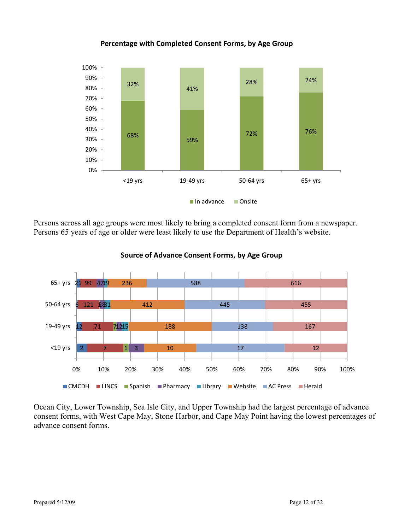

**Percentage with Completed Consent Forms, by Age Group**

Persons across all age groups were most likely to bring a completed consent form from a newspaper. Persons 65 years of age or older were least likely to use the Department of Health's website.



**Source of Advance Consent Forms, by Age Group**

Ocean City, Lower Township, Sea Isle City, and Upper Township had the largest percentage of advance consent forms, with West Cape May, Stone Harbor, and Cape May Point having the lowest percentages of advance consent forms.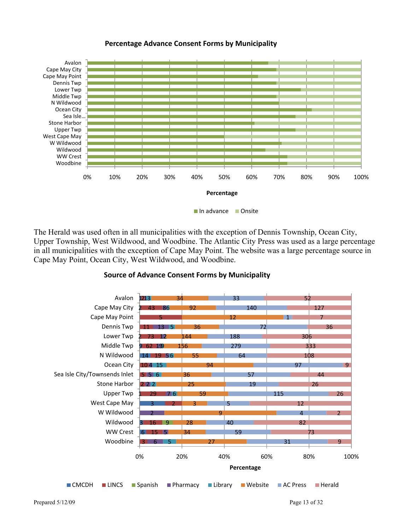#### **Percentage Advance Consent Forms by Municipality**



The Herald was used often in all municipalities with the exception of Dennis Township, Ocean City, Upper Township, West Wildwood, and Woodbine. The Atlantic City Press was used as a large percentage in all municipalities with the exception of Cape May Point. The website was a large percentage source in Cape May Point, Ocean City, West Wildwood, and Woodbine.



#### **Source of Advance Consent Forms by Municipality**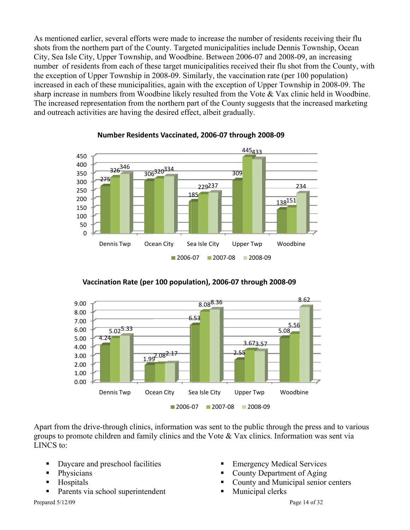As mentioned earlier, several efforts were made to increase the number of residents receiving their flu shots from the northern part of the County. Targeted municipalities include Dennis Township, Ocean City, Sea Isle City, Upper Township, and Woodbine. Between 2006-07 and 2008-09, an increasing number of residents from each of these target municipalities received their flu shot from the County, with the exception of Upper Township in 2008-09. Similarly, the vaccination rate (per 100 population) increased in each of these municipalities, again with the exception of Upper Township in 2008-09. The sharp increase in numbers from Woodbine likely resulted from the Vote & Vax clinic held in Woodbine. The increased representation from the northern part of the County suggests that the increased marketing and outreach activities are having the desired effect, albeit gradually.



#### Number Residents Vaccinated, 2006-07 through 2008-09





Apart from the drive-through clinics, information was sent to the public through the press and to various groups to promote children and family clinics and the Vote  $\&$  Vax clinics. Information was sent via LINCS to:

 $\blacksquare$ 

- $\blacksquare$ Daycare and preschool facilities
- Physicians F
- Hospitals  $\blacksquare$
- $\blacksquare$ Parents via school superintendent

Prepared 5/12/09

- **Emergency Medical Services**
- County Department of Aging
- County and Municipal senior centers
	- Municipal clerks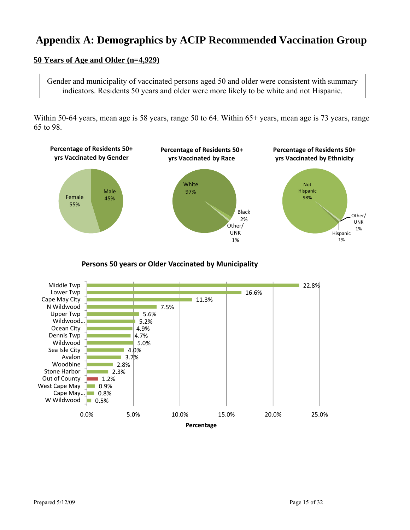# **Appendix A: Demographics by ACIP Recommended Vaccination Group**

# **50 Years of Age and Older (n=4,929)**

Gender and municipality of vaccinated persons aged 50 and older were consistent with summary indicators. Residents 50 years and older were more likely to be white and not Hispanic.

Within 50-64 years, mean age is 58 years, range 50 to 64. Within 65+ years, mean age is 73 years, range 65 to 98.



**Persons 50 years or Older Vaccinated by Municipality**

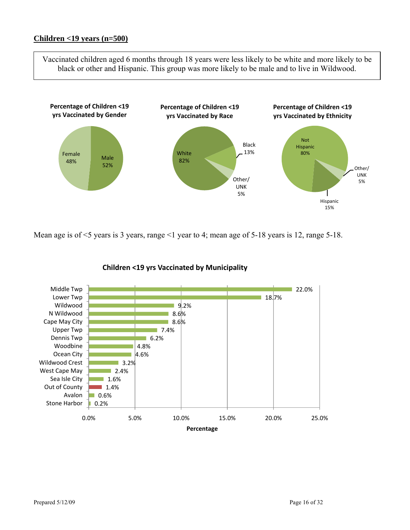Vaccinated children aged 6 months through 18 years were less likely to be white and more likely to be black or other and Hispanic. This group was more likely to be male and to live in Wildwood.



Mean age is of <5 years is 3 years, range <1 year to 4; mean age of 5-18 years is 12, range 5-18.



#### **Children <19 yrs Vaccinated by Municipality**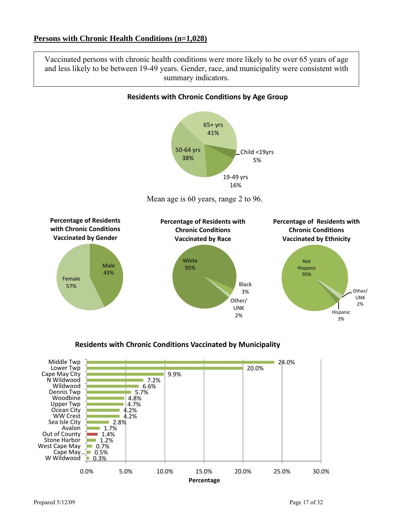Vaccinated persons with chronic health conditions were more likely to be over 65 years of age and less likely to be between 19-49 years. Gender, race, and municipality were consistent with summary indicators.



## **Residents with Chronic Conditions Vaccinated by Municipality**

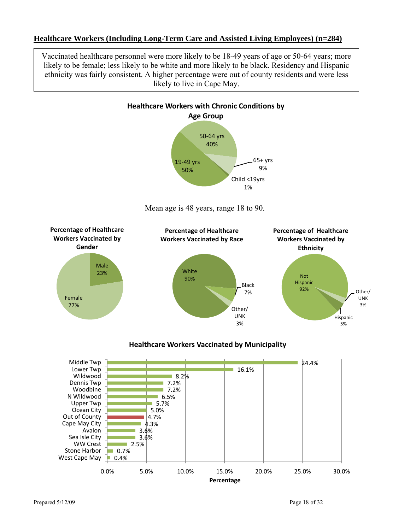### **Healthcare Workers (Including Long-Term Care and Assisted Living Employees) (n=284)**

Vaccinated healthcare personnel were more likely to be 18-49 years of age or 50-64 years; more likely to be female; less likely to be white and more likely to be black. Residency and Hispanic ethnicity was fairly consistent. A higher percentage were out of county residents and were less likely to live in Cape May.



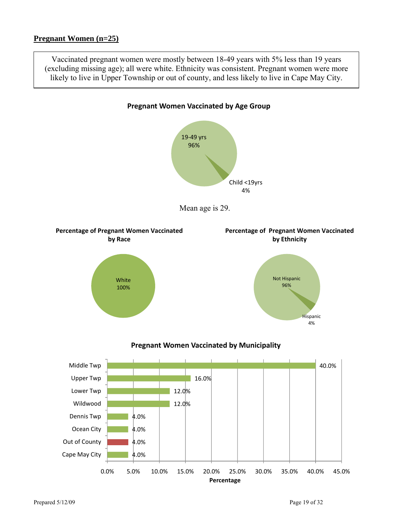Vaccinated pregnant women were mostly between 18-49 years with 5% less than 19 years (excluding missing age); all were white. Ethnicity was consistent. Pregnant women were more likely to live in Upper Township or out of county, and less likely to live in Cape May City.

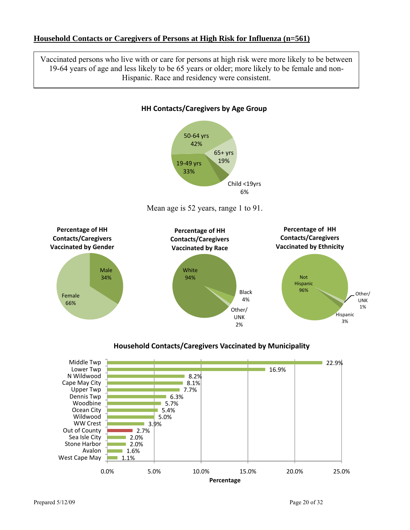### **Household Contacts or Caregivers of Persons at High Risk for Influenza (n=561)**

Vaccinated persons who live with or care for persons at high risk were more likely to be between 19-64 years of age and less likely to be 65 years or older; more likely to be female and non-Hispanic. Race and residency were consistent.

**HH Contacts/Caregivers by Age Group**



#### **Household Contacts/Caregivers Vaccinated by Municipality**

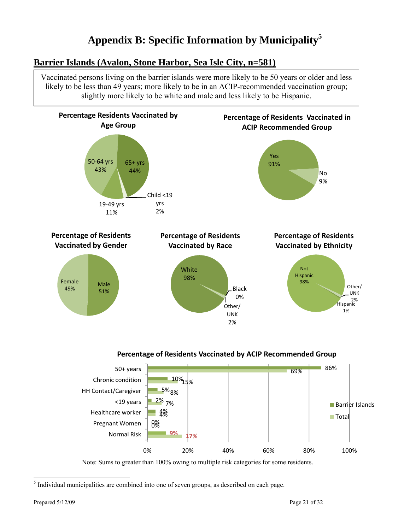# **Appendix B: Specific Information by Municipality5**

# **Barrier Islands (Avalon, Stone Harbor, Sea Isle City, n=581)**

Vaccinated persons living on the barrier islands were more likely to be 50 years or older and less likely to be less than 49 years; more likely to be in an ACIP-recommended vaccination group; slightly more likely to be white and male and less likely to be Hispanic.







 5 Individual municipalities are combined into one of seven groups, as described on each page.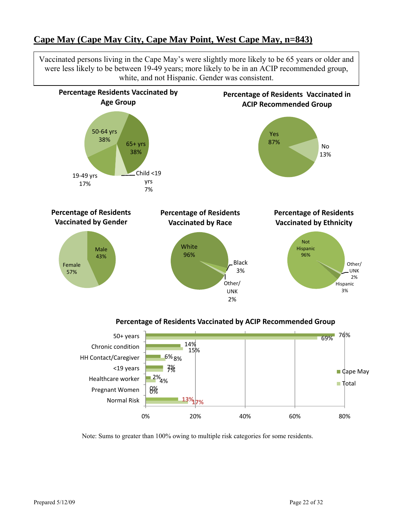# **Cape May (Cape May City, Cape May Point, West Cape May, n=843)**

Vaccinated persons living in the Cape May's were slightly more likely to be 65 years or older and were less likely to be between 19-49 years; more likely to be in an ACIP recommended group, white, and not Hispanic. Gender was consistent.



#### **Percentage of Residents Vaccinated by ACIP Recommended Group**

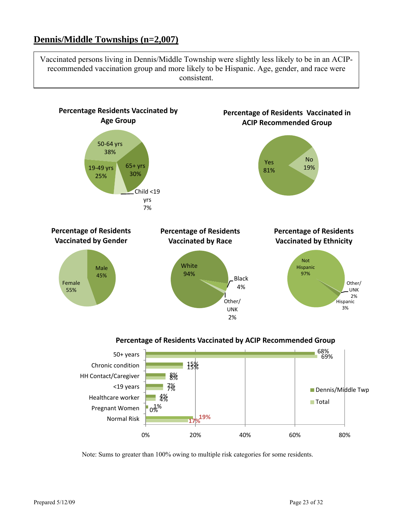# **Dennis/Middle Townships (n=2,007)**

Vaccinated persons living in Dennis/Middle Township were slightly less likely to be in an ACIPrecommended vaccination group and more likely to be Hispanic. Age, gender, and race were consistent.



Note: Sums to greater than 100% owing to multiple risk categories for some residents.

0% 20% 40% 60% 80%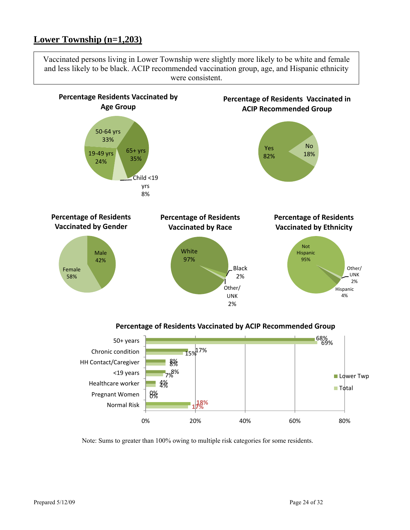# **Lower Township (n=1,203)**

Vaccinated persons living in Lower Township were slightly more likely to be white and female and less likely to be black. ACIP recommended vaccination group, age, and Hispanic ethnicity were consistent.



#### **Percentage of Residents Vaccinated by ACIP Recommended Group**

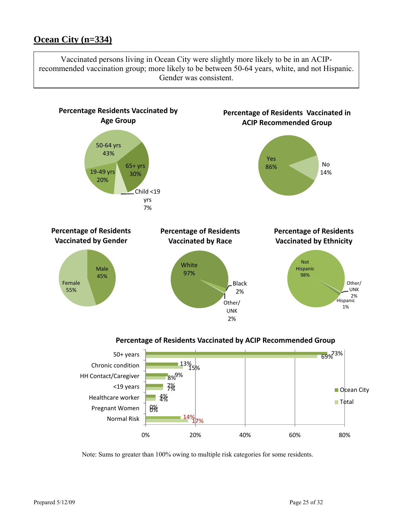# **Ocean City (n=334)**

Vaccinated persons living in Ocean City were slightly more likely to be in an ACIPrecommended vaccination group; more likely to be between 50-64 years, white, and not Hispanic. Gender was consistent.



**Percentage of Residents Vaccinated by ACIP Recommended Group**

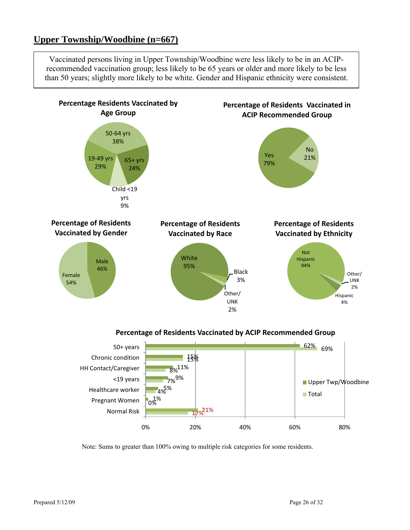# **Upper Township/Woodbine (n=667)**

Vaccinated persons living in Upper Township/Woodbine were less likely to be in an ACIPrecommended vaccination group; less likely to be 65 years or older and more likely to be less than 50 years; slightly more likely to be white. Gender and Hispanic ethnicity were consistent.



**Percentage of Residents Vaccinated by ACIP Recommended Group**